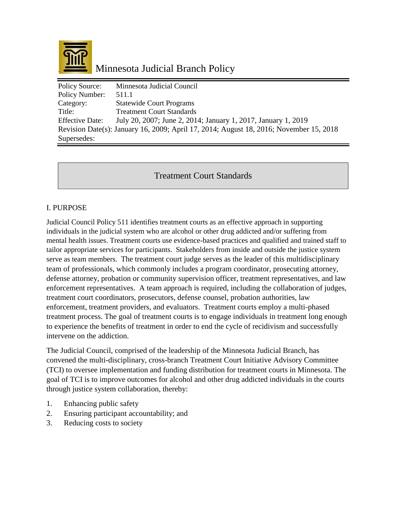

| <b>Policy Source:</b>  | Minnesota Judicial Council                                                             |
|------------------------|----------------------------------------------------------------------------------------|
| Policy Number:         | 511.1                                                                                  |
| Category:              | <b>Statewide Court Programs</b>                                                        |
| Title:                 | <b>Treatment Court Standards</b>                                                       |
| <b>Effective Date:</b> | July 20, 2007; June 2, 2014; January 1, 2017, January 1, 2019                          |
|                        | Revision Date(s): January 16, 2009; April 17, 2014; August 18, 2016; November 15, 2018 |
| Supersedes:            |                                                                                        |

Treatment Court Standards

# I. PURPOSE

Judicial Council Policy 511 identifies treatment courts as an effective approach in supporting individuals in the judicial system who are alcohol or other drug addicted and/or suffering from mental health issues. Treatment courts use evidence-based practices and qualified and trained staff to tailor appropriate services for participants. Stakeholders from inside and outside the justice system serve as team members. The treatment court judge serves as the leader of this multidisciplinary team of professionals, which commonly includes a program coordinator, prosecuting attorney, defense attorney, probation or community supervision officer, treatment representatives, and law enforcement representatives. A team approach is required, including the collaboration of judges, treatment court coordinators, prosecutors, defense counsel, probation authorities, law enforcement, treatment providers, and evaluators. Treatment courts employ a multi-phased treatment process. The goal of treatment courts is to engage individuals in treatment long enough to experience the benefits of treatment in order to end the cycle of recidivism and successfully intervene on the addiction.

The Judicial Council, comprised of the leadership of the Minnesota Judicial Branch, has convened the multi-disciplinary, cross-branch Treatment Court Initiative Advisory Committee (TCI) to oversee implementation and funding distribution for treatment courts in Minnesota. The goal of TCI is to improve outcomes for alcohol and other drug addicted individuals in the courts through justice system collaboration, thereby:

- 1. Enhancing public safety
- 2. Ensuring participant accountability; and
- 3. Reducing costs to society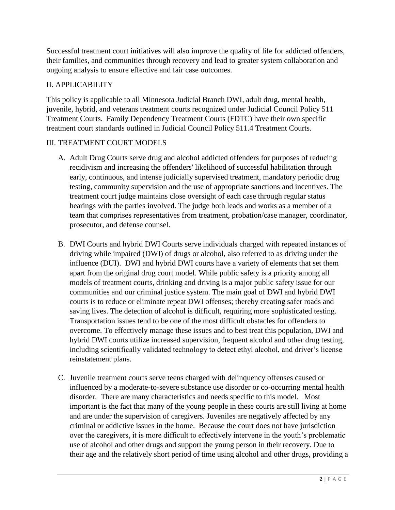Successful treatment court initiatives will also improve the quality of life for addicted offenders, their families, and communities through recovery and lead to greater system collaboration and ongoing analysis to ensure effective and fair case outcomes.

# II. APPLICABILITY

This policy is applicable to all Minnesota Judicial Branch DWI, adult drug, mental health, juvenile, hybrid, and veterans treatment courts recognized under Judicial Council Policy 511 Treatment Courts. Family Dependency Treatment Courts (FDTC) have their own specific treatment court standards outlined in Judicial Council Policy 511.4 Treatment Courts.

# III. TREATMENT COURT MODELS

- A. Adult Drug Courts serve drug and alcohol addicted offenders for purposes of reducing recidivism and increasing the offenders' likelihood of successful habilitation through early, continuous, and intense judicially supervised treatment, mandatory periodic drug testing, community supervision and the use of appropriate sanctions and incentives. The treatment court judge maintains close oversight of each case through regular status hearings with the parties involved. The judge both leads and works as a member of a team that comprises representatives from treatment, probation/case manager, coordinator, prosecutor, and defense counsel.
- B. DWI Courts and hybrid DWI Courts serve individuals charged with repeated instances of driving while impaired (DWI) of drugs or alcohol, also referred to as driving under the influence (DUI). DWI and hybrid DWI courts have a variety of elements that set them apart from the original drug court model. While public safety is a priority among all models of treatment courts, drinking and driving is a major public safety issue for our communities and our criminal justice system. The main goal of DWI and hybrid DWI courts is to reduce or eliminate repeat DWI offenses; thereby creating safer roads and saving lives. The detection of alcohol is difficult, requiring more sophisticated testing. Transportation issues tend to be one of the most difficult obstacles for offenders to overcome. To effectively manage these issues and to best treat this population, DWI and hybrid DWI courts utilize increased supervision, frequent alcohol and other drug testing, including scientifically validated technology to detect ethyl alcohol, and driver's license reinstatement plans.
- C. Juvenile treatment courts serve teens charged with delinquency offenses caused or influenced by a moderate-to-severe substance use disorder or co-occurring mental health disorder. There are many characteristics and needs specific to this model. Most important is the fact that many of the young people in these courts are still living at home and are under the supervision of caregivers. Juveniles are negatively affected by any criminal or addictive issues in the home. Because the court does not have jurisdiction over the caregivers, it is more difficult to effectively intervene in the youth's problematic use of alcohol and other drugs and support the young person in their recovery. Due to their age and the relatively short period of time using alcohol and other drugs, providing a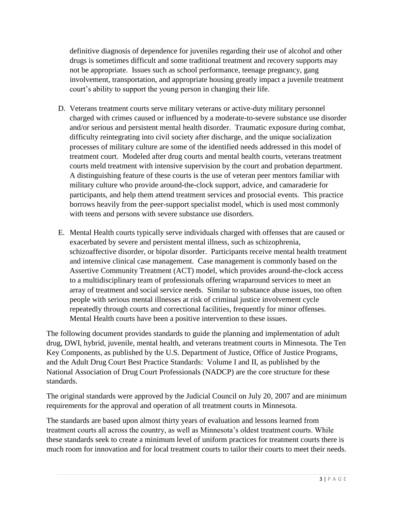definitive diagnosis of dependence for juveniles regarding their use of alcohol and other drugs is sometimes difficult and some traditional treatment and recovery supports may not be appropriate. Issues such as school performance, teenage pregnancy, gang involvement, transportation, and appropriate housing greatly impact a juvenile treatment court's ability to support the young person in changing their life.

- D. Veterans treatment courts serve military veterans or active-duty military personnel charged with crimes caused or influenced by a moderate-to-severe substance use disorder and/or serious and persistent mental health disorder. Traumatic exposure during combat, difficulty reintegrating into civil society after discharge, and the unique socialization processes of military culture are some of the identified needs addressed in this model of treatment court. Modeled after drug courts and mental health courts, veterans treatment courts meld treatment with intensive supervision by the court and probation department. A distinguishing feature of these courts is the use of veteran peer mentors familiar with military culture who provide around-the-clock support, advice, and camaraderie for participants, and help them attend treatment services and prosocial events. This practice borrows heavily from the peer-support specialist model, which is used most commonly with teens and persons with severe substance use disorders.
- E. Mental Health courts typically serve individuals charged with offenses that are caused or exacerbated by severe and persistent mental illness, such as schizophrenia, schizoaffective disorder, or bipolar disorder. Participants receive mental health treatment and intensive clinical case management. Case management is commonly based on the Assertive Community Treatment (ACT) model, which provides around-the-clock access to a multidisciplinary team of professionals offering wraparound services to meet an array of treatment and social service needs. Similar to substance abuse issues, too often people with serious mental illnesses at risk of criminal justice involvement cycle repeatedly through courts and correctional facilities, frequently for minor offenses. Mental Health courts have been a positive intervention to these issues.

The following document provides standards to guide the planning and implementation of adult drug, DWI, hybrid, juvenile, mental health, and veterans treatment courts in Minnesota. The Ten Key Components, as published by the U.S. Department of Justice, Office of Justice Programs, and the Adult Drug Court Best Practice Standards: Volume I and II, as published by the National Association of Drug Court Professionals (NADCP) are the core structure for these standards.

The original standards were approved by the Judicial Council on July 20, 2007 and are minimum requirements for the approval and operation of all treatment courts in Minnesota.

The standards are based upon almost thirty years of evaluation and lessons learned from treatment courts all across the country, as well as Minnesota's oldest treatment courts. While these standards seek to create a minimum level of uniform practices for treatment courts there is much room for innovation and for local treatment courts to tailor their courts to meet their needs.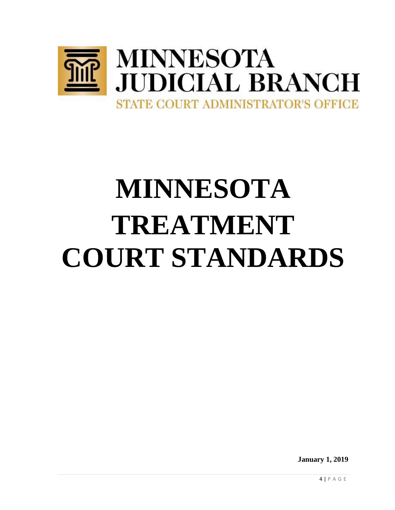

# **MINNESOTA TREATMENT COURT STANDARDS**

**January 1, 2019**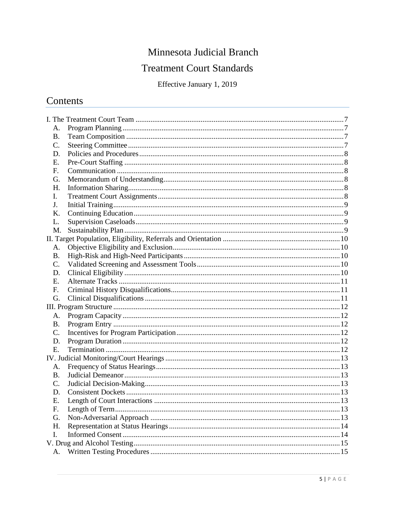# Minnesota Judicial Branch

# **Treatment Court Standards**

Effective January 1, 2019

# Contents

| A.        |  |
|-----------|--|
| <b>B.</b> |  |
| C.        |  |
| D.        |  |
| Ε.        |  |
| F.        |  |
| G.        |  |
| Η.        |  |
| I.        |  |
| J.        |  |
| K.        |  |
| L.        |  |
| M.        |  |
|           |  |
| A.        |  |
| <b>B.</b> |  |
| C.        |  |
| D.        |  |
| Ε.        |  |
| F.        |  |
| G.        |  |
|           |  |
| A.        |  |
| Β.        |  |
| C.        |  |
| D.        |  |
| E.        |  |
|           |  |
| A.        |  |
| <b>B.</b> |  |
| C.        |  |
| D.        |  |
| Ε.        |  |
| F.        |  |
| G.        |  |
| Η.        |  |
| I.        |  |
|           |  |
| A.        |  |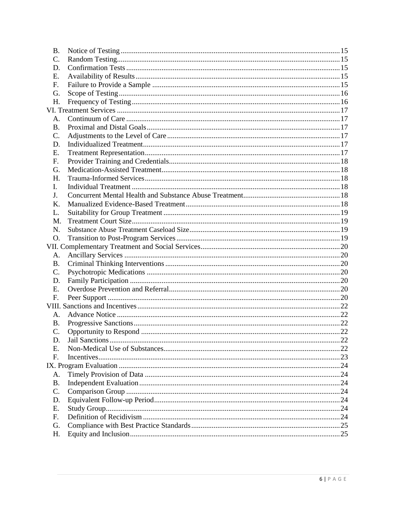| <b>B.</b>      |  |  |
|----------------|--|--|
| C.             |  |  |
| D.             |  |  |
| Ε.             |  |  |
| F.             |  |  |
| G.             |  |  |
| Η.             |  |  |
|                |  |  |
| A.             |  |  |
| <b>B.</b>      |  |  |
| C.             |  |  |
| D.             |  |  |
| Ε.             |  |  |
| F.             |  |  |
| G.             |  |  |
| Η.             |  |  |
| L.             |  |  |
| J.             |  |  |
| K.             |  |  |
| L.             |  |  |
| M.             |  |  |
| N.             |  |  |
| O.             |  |  |
|                |  |  |
| A.             |  |  |
| <b>B.</b>      |  |  |
| $\mathbf{C}$ . |  |  |
| D.             |  |  |
| E.             |  |  |
| F.             |  |  |
|                |  |  |
| A.             |  |  |
| <b>B.</b>      |  |  |
| $C$ .          |  |  |
| D.             |  |  |
| Ε.             |  |  |
| F.             |  |  |
|                |  |  |
| A.             |  |  |
| <b>B.</b>      |  |  |
| C.             |  |  |
| D.             |  |  |
| Ε.             |  |  |
| F.             |  |  |
| G.             |  |  |
| Η.             |  |  |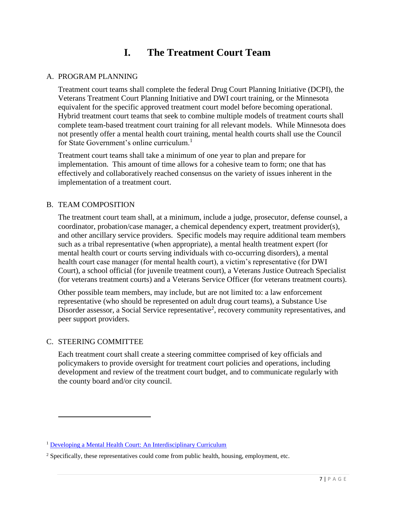# **I. The Treatment Court Team**

# <span id="page-6-0"></span>A. PROGRAM PLANNING

Treatment court teams shall complete the federal Drug Court Planning Initiative (DCPI), the Veterans Treatment Court Planning Initiative and DWI court training, or the Minnesota equivalent for the specific approved treatment court model before becoming operational. Hybrid treatment court teams that seek to combine multiple models of treatment courts shall complete team-based treatment court training for all relevant models. While Minnesota does not presently offer a mental health court training, mental health courts shall use the Council for State Government's online curriculum.<sup>1</sup>

Treatment court teams shall take a minimum of one year to plan and prepare for implementation. This amount of time allows for a cohesive team to form; one that has effectively and collaboratively reached consensus on the variety of issues inherent in the implementation of a treatment court.

# B. TEAM COMPOSITION

The treatment court team shall, at a minimum, include a judge, prosecutor, defense counsel, a coordinator, probation/case manager, a chemical dependency expert, treatment provider(s), and other ancillary service providers. Specific models may require additional team members such as a tribal representative (when appropriate), a mental health treatment expert (for mental health court or courts serving individuals with co-occurring disorders), a mental health court case manager (for mental health court), a victim's representative (for DWI Court), a school official (for juvenile treatment court), a Veterans Justice Outreach Specialist (for veterans treatment courts) and a Veterans Service Officer (for veterans treatment courts).

Other possible team members, may include, but are not limited to: a law enforcement representative (who should be represented on adult drug court teams), a Substance Use Disorder assessor, a Social Service representative<sup>2</sup>, recovery community representatives, and peer support providers.

# <span id="page-6-1"></span>C. STEERING COMMITTEE

 $\overline{a}$ 

Each treatment court shall create a steering committee comprised of key officials and policymakers to provide oversight for treatment court policies and operations, including development and review of the treatment court budget, and to communicate regularly with the county board and/or city council.

<sup>1</sup> [Developing a Mental Health Court: An Interdisciplinary Curriculum](https://learning.csgjusticecenter.org/)

<sup>2</sup> Specifically, these representatives could come from public health, housing, employment, etc.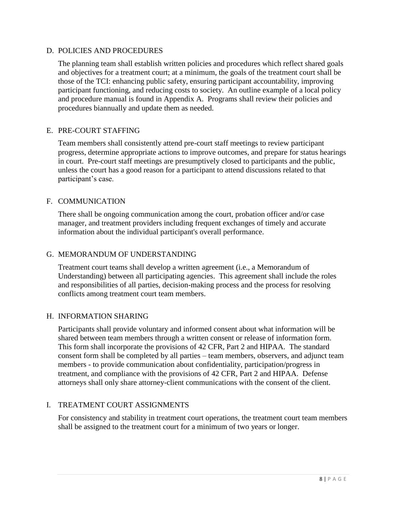# <span id="page-7-0"></span>D. POLICIES AND PROCEDURES

The planning team shall establish written policies and procedures which reflect shared goals and objectives for a treatment court; at a minimum, the goals of the treatment court shall be those of the TCI: enhancing public safety, ensuring participant accountability, improving participant functioning, and reducing costs to society. An outline example of a local policy and procedure manual is found in Appendix A. Programs shall review their policies and procedures biannually and update them as needed.

#### <span id="page-7-1"></span>E. PRE-COURT STAFFING

Team members shall consistently attend pre-court staff meetings to review participant progress, determine appropriate actions to improve outcomes, and prepare for status hearings in court. Pre-court staff meetings are presumptively closed to participants and the public, unless the court has a good reason for a participant to attend discussions related to that participant's case.

#### <span id="page-7-2"></span>F. COMMUNICATION

There shall be ongoing communication among the court, probation officer and/or case manager, and treatment providers including frequent exchanges of timely and accurate information about the individual participant's overall performance.

#### <span id="page-7-3"></span>G. MEMORANDUM OF UNDERSTANDING

Treatment court teams shall develop a written agreement (i.e., a Memorandum of Understanding) between all participating agencies. This agreement shall include the roles and responsibilities of all parties, decision-making process and the process for resolving conflicts among treatment court team members.

#### <span id="page-7-4"></span>H. INFORMATION SHARING

Participants shall provide voluntary and informed consent about what information will be shared between team members through a written consent or release of information form. This form shall incorporate the provisions of 42 CFR, Part 2 and HIPAA. The standard consent form shall be completed by all parties – team members, observers, and adjunct team members - to provide communication about confidentiality, participation/progress in treatment, and compliance with the provisions of 42 CFR, Part 2 and HIPAA. Defense attorneys shall only share attorney-client communications with the consent of the client.

#### <span id="page-7-5"></span>I. TREATMENT COURT ASSIGNMENTS

For consistency and stability in treatment court operations, the treatment court team members shall be assigned to the treatment court for a minimum of two years or longer.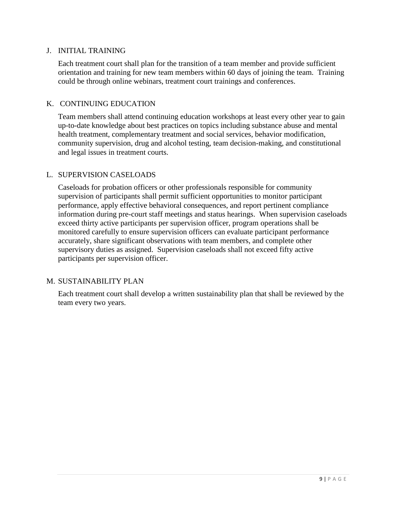#### <span id="page-8-0"></span>J. INITIAL TRAINING

Each treatment court shall plan for the transition of a team member and provide sufficient orientation and training for new team members within 60 days of joining the team. Training could be through online webinars, treatment court trainings and conferences.

#### <span id="page-8-1"></span>K. CONTINUING EDUCATION

Team members shall attend continuing education workshops at least every other year to gain up-to-date knowledge about best practices on topics including substance abuse and mental health treatment, complementary treatment and social services, behavior modification, community supervision, drug and alcohol testing, team decision-making, and constitutional and legal issues in treatment courts.

# <span id="page-8-2"></span>L. SUPERVISION CASELOADS

Caseloads for probation officers or other professionals responsible for community supervision of participants shall permit sufficient opportunities to monitor participant performance, apply effective behavioral consequences, and report pertinent compliance information during pre-court staff meetings and status hearings. When supervision caseloads exceed thirty active participants per supervision officer, program operations shall be monitored carefully to ensure supervision officers can evaluate participant performance accurately, share significant observations with team members, and complete other supervisory duties as assigned. Supervision caseloads shall not exceed fifty active participants per supervision officer.

# M. SUSTAINABILITY PLAN

Each treatment court shall develop a written sustainability plan that shall be reviewed by the team every two years.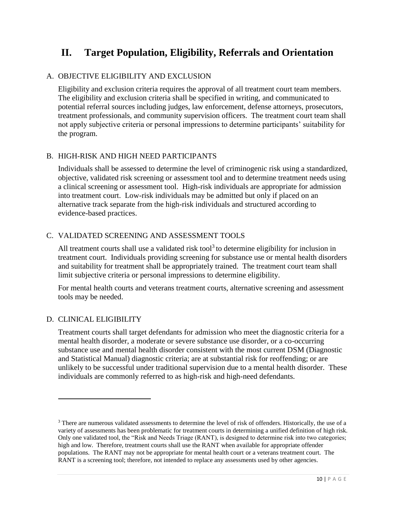# <span id="page-9-0"></span>**II. Target Population, Eligibility, Referrals and Orientation**

# <span id="page-9-1"></span>A. OBJECTIVE ELIGIBILITY AND EXCLUSION

Eligibility and exclusion criteria requires the approval of all treatment court team members. The eligibility and exclusion criteria shall be specified in writing, and communicated to potential referral sources including judges, law enforcement, defense attorneys, prosecutors, treatment professionals, and community supervision officers. The treatment court team shall not apply subjective criteria or personal impressions to determine participants' suitability for the program.

# <span id="page-9-2"></span>B. HIGH-RISK AND HIGH NEED PARTICIPANTS

Individuals shall be assessed to determine the level of criminogenic risk using a standardized, objective, validated risk screening or assessment tool and to determine treatment needs using a clinical screening or assessment tool. High-risk individuals are appropriate for admission into treatment court. Low-risk individuals may be admitted but only if placed on an alternative track separate from the high-risk individuals and structured according to evidence-based practices.

#### <span id="page-9-3"></span>C. VALIDATED SCREENING AND ASSESSMENT TOOLS

All treatment courts shall use a validated risk tool<sup>3</sup> to determine eligibility for inclusion in treatment court. Individuals providing screening for substance use or mental health disorders and suitability for treatment shall be appropriately trained. The treatment court team shall limit subjective criteria or personal impressions to determine eligibility.

For mental health courts and veterans treatment courts, alternative screening and assessment tools may be needed.

#### <span id="page-9-4"></span>D. CLINICAL ELIGIBILITY

 $\ddot{\phantom{a}}$ 

Treatment courts shall target defendants for admission who meet the diagnostic criteria for a mental health disorder, a moderate or severe substance use disorder, or a co-occurring substance use and mental health disorder consistent with the most current DSM (Diagnostic and Statistical Manual) diagnostic criteria; are at substantial risk for reoffending; or are unlikely to be successful under traditional supervision due to a mental health disorder. These individuals are commonly referred to as high-risk and high-need defendants.

<sup>&</sup>lt;sup>3</sup> There are numerous validated assessments to determine the level of risk of offenders. Historically, the use of a variety of assessments has been problematic for treatment courts in determining a unified definition of high risk. Only one validated tool, the "Risk and Needs Triage (RANT), is designed to determine risk into two categories; high and low. Therefore, treatment courts shall use the RANT when available for appropriate offender populations. The RANT may not be appropriate for mental health court or a veterans treatment court. The RANT is a screening tool; therefore, not intended to replace any assessments used by other agencies.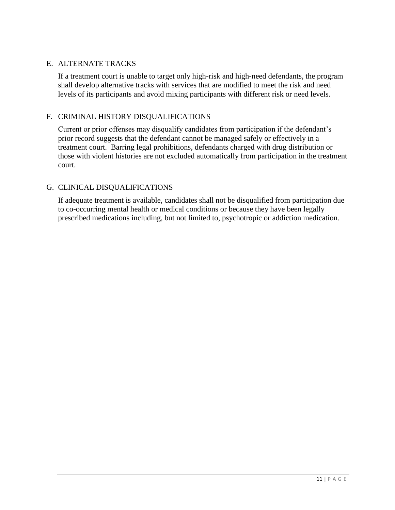# <span id="page-10-0"></span>E. ALTERNATE TRACKS

If a treatment court is unable to target only high-risk and high-need defendants, the program shall develop alternative tracks with services that are modified to meet the risk and need levels of its participants and avoid mixing participants with different risk or need levels.

#### <span id="page-10-1"></span>F. CRIMINAL HISTORY DISQUALIFICATIONS

Current or prior offenses may disqualify candidates from participation if the defendant's prior record suggests that the defendant cannot be managed safely or effectively in a treatment court. Barring legal prohibitions, defendants charged with drug distribution or those with violent histories are not excluded automatically from participation in the treatment court.

# <span id="page-10-2"></span>G. CLINICAL DISQUALIFICATIONS

If adequate treatment is available, candidates shall not be disqualified from participation due to co-occurring mental health or medical conditions or because they have been legally prescribed medications including, but not limited to, psychotropic or addiction medication.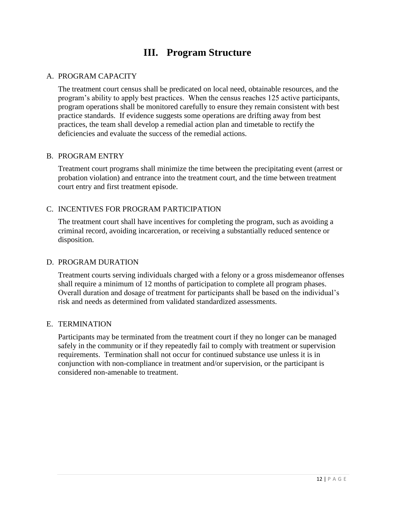# **III. Program Structure**

# <span id="page-11-1"></span><span id="page-11-0"></span>A. PROGRAM CAPACITY

The treatment court census shall be predicated on local need, obtainable resources, and the program's ability to apply best practices. When the census reaches 125 active participants, program operations shall be monitored carefully to ensure they remain consistent with best practice standards. If evidence suggests some operations are drifting away from best practices, the team shall develop a remedial action plan and timetable to rectify the deficiencies and evaluate the success of the remedial actions.

#### <span id="page-11-2"></span>B. PROGRAM ENTRY

Treatment court programs shall minimize the time between the precipitating event (arrest or probation violation) and entrance into the treatment court, and the time between treatment court entry and first treatment episode.

# C. INCENTIVES FOR PROGRAM PARTICIPATION

The treatment court shall have incentives for completing the program, such as avoiding a criminal record, avoiding incarceration, or receiving a substantially reduced sentence or disposition.

#### D. PROGRAM DURATION

Treatment courts serving individuals charged with a felony or a gross misdemeanor offenses shall require a minimum of 12 months of participation to complete all program phases. Overall duration and dosage of treatment for participants shall be based on the individual's risk and needs as determined from validated standardized assessments.

#### <span id="page-11-3"></span>E. TERMINATION

Participants may be terminated from the treatment court if they no longer can be managed safely in the community or if they repeatedly fail to comply with treatment or supervision requirements. Termination shall not occur for continued substance use unless it is in conjunction with non-compliance in treatment and/or supervision, or the participant is considered non-amenable to treatment.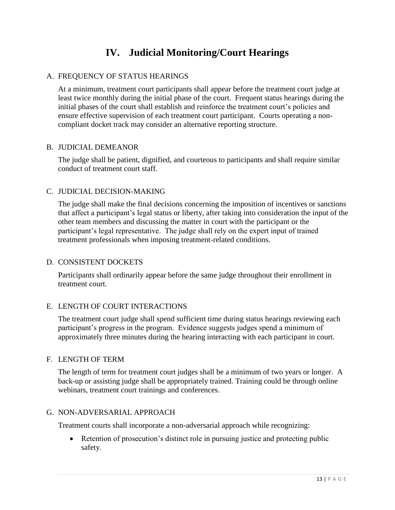# **IV. Judicial Monitoring/Court Hearings**

# <span id="page-12-1"></span><span id="page-12-0"></span>A. FREQUENCY OF STATUS HEARINGS

At a minimum, treatment court participants shall appear before the treatment court judge at least twice monthly during the initial phase of the court. Frequent status hearings during the initial phases of the court shall establish and reinforce the treatment court's policies and ensure effective supervision of each treatment court participant. Courts operating a noncompliant docket track may consider an alternative reporting structure.

#### <span id="page-12-2"></span>B. JUDICIAL DEMEANOR

The judge shall be patient, dignified, and courteous to participants and shall require similar conduct of treatment court staff.

# <span id="page-12-3"></span>C. JUDICIAL DECISION-MAKING

The judge shall make the final decisions concerning the imposition of incentives or sanctions that affect a participant's legal status or liberty, after taking into consideration the input of the other team members and discussing the matter in court with the participant or the participant's legal representative. The judge shall rely on the expert input of trained treatment professionals when imposing treatment-related conditions.

# <span id="page-12-4"></span>D. CONSISTENT DOCKETS

Participants shall ordinarily appear before the same judge throughout their enrollment in treatment court.

#### <span id="page-12-5"></span>E. LENGTH OF COURT INTERACTIONS

The treatment court judge shall spend sufficient time during status hearings reviewing each participant's progress in the program. Evidence suggests judges spend a minimum of approximately three minutes during the hearing interacting with each participant in court.

#### <span id="page-12-6"></span>F. LENGTH OF TERM

The length of term for treatment court judges shall be a minimum of two years or longer. A back-up or assisting judge shall be appropriately trained. Training could be through online webinars, treatment court trainings and conferences.

#### <span id="page-12-7"></span>G. NON-ADVERSARIAL APPROACH

Treatment courts shall incorporate a non-adversarial approach while recognizing:

• Retention of prosecution's distinct role in pursuing justice and protecting public safety.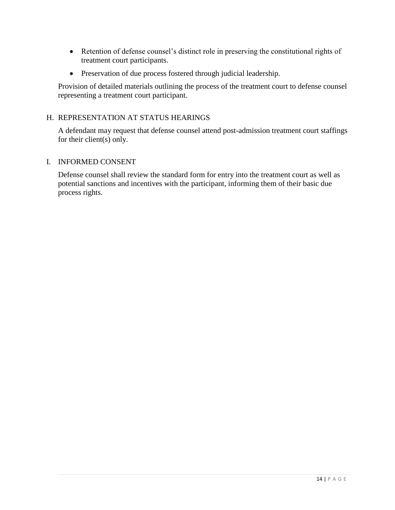- Retention of defense counsel's distinct role in preserving the constitutional rights of treatment court participants.
- Preservation of due process fostered through judicial leadership.

Provision of detailed materials outlining the process of the treatment court to defense counsel representing a treatment court participant.

# <span id="page-13-0"></span>H. REPRESENTATION AT STATUS HEARINGS

A defendant may request that defense counsel attend post-admission treatment court staffings for their client(s) only.

# <span id="page-13-1"></span>I. INFORMED CONSENT

Defense counsel shall review the standard form for entry into the treatment court as well as potential sanctions and incentives with the participant, informing them of their basic due process rights.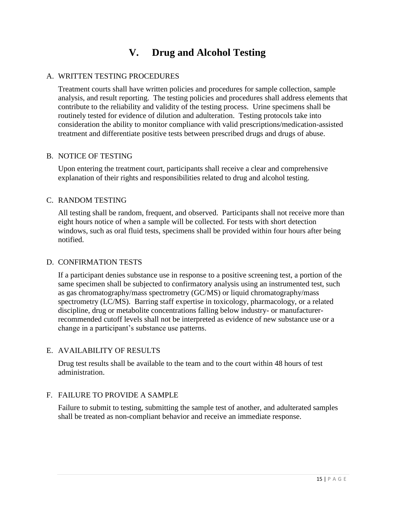# **V. Drug and Alcohol Testing**

# <span id="page-14-1"></span><span id="page-14-0"></span>A. WRITTEN TESTING PROCEDURES

Treatment courts shall have written policies and procedures for sample collection, sample analysis, and result reporting. The testing policies and procedures shall address elements that contribute to the reliability and validity of the testing process. Urine specimens shall be routinely tested for evidence of dilution and adulteration. Testing protocols take into consideration the ability to monitor compliance with valid prescriptions/medication-assisted treatment and differentiate positive tests between prescribed drugs and drugs of abuse.

# <span id="page-14-2"></span>B. NOTICE OF TESTING

Upon entering the treatment court, participants shall receive a clear and comprehensive explanation of their rights and responsibilities related to drug and alcohol testing.

# <span id="page-14-3"></span>C. RANDOM TESTING

All testing shall be random, frequent, and observed. Participants shall not receive more than eight hours notice of when a sample will be collected. For tests with short detection windows, such as oral fluid tests, specimens shall be provided within four hours after being notified.

# <span id="page-14-4"></span>D. CONFIRMATION TESTS

If a participant denies substance use in response to a positive screening test, a portion of the same specimen shall be subjected to confirmatory analysis using an instrumented test, such as gas chromatography/mass spectrometry (GC/MS) or liquid chromatography/mass spectrometry (LC/MS). Barring staff expertise in toxicology, pharmacology, or a related discipline, drug or metabolite concentrations falling below industry- or manufacturerrecommended cutoff levels shall not be interpreted as evidence of new substance use or a change in a participant's substance use patterns.

# <span id="page-14-5"></span>E. AVAILABILITY OF RESULTS

Drug test results shall be available to the team and to the court within 48 hours of test administration.

# <span id="page-14-6"></span>F. FAILURE TO PROVIDE A SAMPLE

Failure to submit to testing, submitting the sample test of another, and adulterated samples shall be treated as non-compliant behavior and receive an immediate response.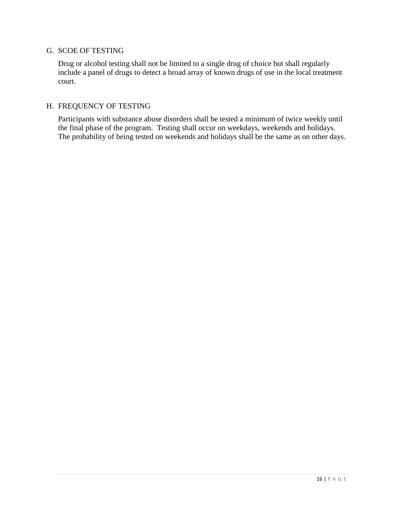# <span id="page-15-0"></span>G. SCOE OF TESTING

Drug or alcohol testing shall not be limited to a single drug of choice but shall regularly include a panel of drugs to detect a broad array of known drugs of use in the local treatment court.

## <span id="page-15-1"></span>H. FREQUENCY OF TESTING

Participants with substance abuse disorders shall be tested a minimum of twice weekly until the final phase of the program. Testing shall occur on weekdays, weekends and holidays. The probability of being tested on weekends and holidays shall be the same as on other days.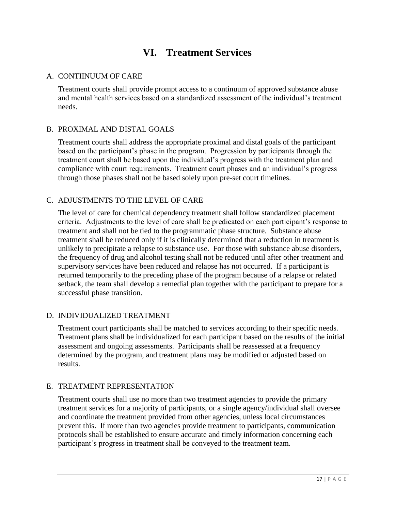# **VI. Treatment Services**

# <span id="page-16-1"></span><span id="page-16-0"></span>A. CONTIINUUM OF CARE

Treatment courts shall provide prompt access to a continuum of approved substance abuse and mental health services based on a standardized assessment of the individual's treatment needs.

# <span id="page-16-2"></span>B. PROXIMAL AND DISTAL GOALS

Treatment courts shall address the appropriate proximal and distal goals of the participant based on the participant's phase in the program. Progression by participants through the treatment court shall be based upon the individual's progress with the treatment plan and compliance with court requirements. Treatment court phases and an individual's progress through those phases shall not be based solely upon pre-set court timelines.

# <span id="page-16-3"></span>C. ADJUSTMENTS TO THE LEVEL OF CARE

The level of care for chemical dependency treatment shall follow standardized placement criteria. Adjustments to the level of care shall be predicated on each participant's response to treatment and shall not be tied to the programmatic phase structure. Substance abuse treatment shall be reduced only if it is clinically determined that a reduction in treatment is unlikely to precipitate a relapse to substance use. For those with substance abuse disorders, the frequency of drug and alcohol testing shall not be reduced until after other treatment and supervisory services have been reduced and relapse has not occurred. If a participant is returned temporarily to the preceding phase of the program because of a relapse or related setback, the team shall develop a remedial plan together with the participant to prepare for a successful phase transition.

# D. INDIVIDUALIZED TREATMENT

Treatment court participants shall be matched to services according to their specific needs. Treatment plans shall be individualized for each participant based on the results of the initial assessment and ongoing assessments. Participants shall be reassessed at a frequency determined by the program, and treatment plans may be modified or adjusted based on results.

# E. TREATMENT REPRESENTATION

Treatment courts shall use no more than two treatment agencies to provide the primary treatment services for a majority of participants, or a single agency/individual shall oversee and coordinate the treatment provided from other agencies, unless local circumstances prevent this. If more than two agencies provide treatment to participants, communication protocols shall be established to ensure accurate and timely information concerning each participant's progress in treatment shall be conveyed to the treatment team.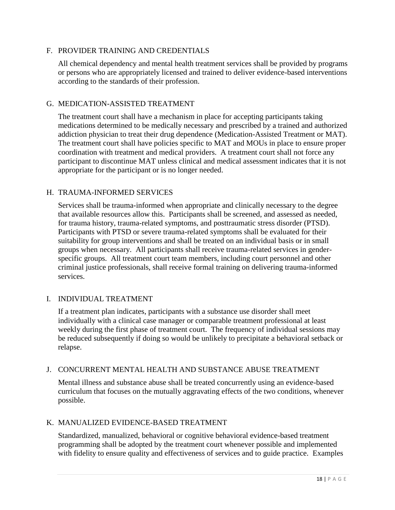# F. PROVIDER TRAINING AND CREDENTIALS

All chemical dependency and mental health treatment services shall be provided by programs or persons who are appropriately licensed and trained to deliver evidence-based interventions according to the standards of their profession.

#### G. MEDICATION-ASSISTED TREATMENT

The treatment court shall have a mechanism in place for accepting participants taking medications determined to be medically necessary and prescribed by a trained and authorized addiction physician to treat their drug dependence (Medication-Assisted Treatment or MAT). The treatment court shall have policies specific to MAT and MOUs in place to ensure proper coordination with treatment and medical providers. A treatment court shall not force any participant to discontinue MAT unless clinical and medical assessment indicates that it is not appropriate for the participant or is no longer needed.

# <span id="page-17-0"></span>H. TRAUMA-INFORMED SERVICES

Services shall be trauma-informed when appropriate and clinically necessary to the degree that available resources allow this. Participants shall be screened, and assessed as needed, for trauma history, trauma-related symptoms, and posttraumatic stress disorder (PTSD). Participants with PTSD or severe trauma-related symptoms shall be evaluated for their suitability for group interventions and shall be treated on an individual basis or in small groups when necessary. All participants shall receive trauma-related services in genderspecific groups. All treatment court team members, including court personnel and other criminal justice professionals, shall receive formal training on delivering trauma-informed services.

# I. INDIVIDUAL TREATMENT

If a treatment plan indicates, participants with a substance use disorder shall meet individually with a clinical case manager or comparable treatment professional at least weekly during the first phase of treatment court. The frequency of individual sessions may be reduced subsequently if doing so would be unlikely to precipitate a behavioral setback or relapse.

#### J. CONCURRENT MENTAL HEALTH AND SUBSTANCE ABUSE TREATMENT

Mental illness and substance abuse shall be treated concurrently using an evidence-based curriculum that focuses on the mutually aggravating effects of the two conditions, whenever possible.

# K. MANUALIZED EVIDENCE-BASED TREATMENT

Standardized, manualized, behavioral or cognitive behavioral evidence-based treatment programming shall be adopted by the treatment court whenever possible and implemented with fidelity to ensure quality and effectiveness of services and to guide practice. Examples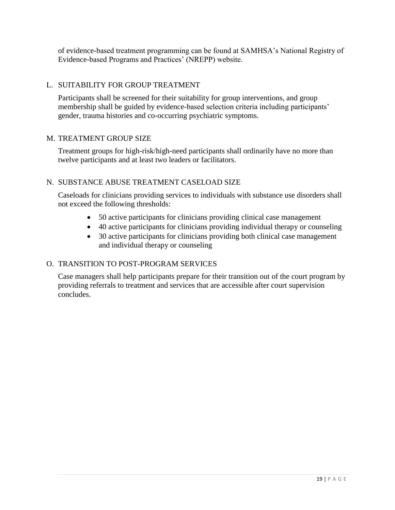of evidence-based treatment programming can be found at SAMHSA's National Registry of Evidence-based Programs and Practices' (NREPP) website.

# L. SUITABILITY FOR GROUP TREATMENT

Participants shall be screened for their suitability for group interventions, and group membership shall be guided by evidence-based selection criteria including participants' gender, trauma histories and co-occurring psychiatric symptoms.

# M. TREATMENT GROUP SIZE

Treatment groups for high-risk/high-need participants shall ordinarily have no more than twelve participants and at least two leaders or facilitators.

# N. SUBSTANCE ABUSE TREATMENT CASELOAD SIZE

Caseloads for clinicians providing services to individuals with substance use disorders shall not exceed the following thresholds:

- 50 active participants for clinicians providing clinical case management
- 40 active participants for clinicians providing individual therapy or counseling
- 30 active participants for clinicians providing both clinical case management and individual therapy or counseling

# O. TRANSITION TO POST-PROGRAM SERVICES

Case managers shall help participants prepare for their transition out of the court program by providing referrals to treatment and services that are accessible after court supervision concludes.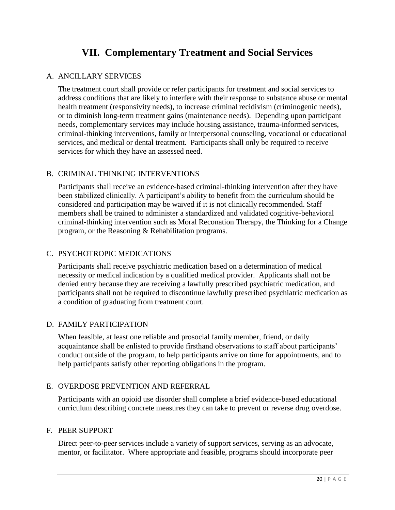# **VII. Complementary Treatment and Social Services**

# <span id="page-19-1"></span><span id="page-19-0"></span>A. ANCILLARY SERVICES

The treatment court shall provide or refer participants for treatment and social services to address conditions that are likely to interfere with their response to substance abuse or mental health treatment (responsivity needs), to increase criminal recidivism (criminogenic needs), or to diminish long-term treatment gains (maintenance needs). Depending upon participant needs, complementary services may include housing assistance, trauma-informed services, criminal-thinking interventions, family or interpersonal counseling, vocational or educational services, and medical or dental treatment. Participants shall only be required to receive services for which they have an assessed need.

# <span id="page-19-2"></span>B. CRIMINAL THINKING INTERVENTIONS

Participants shall receive an evidence-based criminal-thinking intervention after they have been stabilized clinically. A participant's ability to benefit from the curriculum should be considered and participation may be waived if it is not clinically recommended. Staff members shall be trained to administer a standardized and validated cognitive-behavioral criminal-thinking intervention such as Moral Reconation Therapy, the Thinking for a Change program, or the Reasoning & Rehabilitation programs.

# C. PSYCHOTROPIC MEDICATIONS

Participants shall receive psychiatric medication based on a determination of medical necessity or medical indication by a qualified medical provider. Applicants shall not be denied entry because they are receiving a lawfully prescribed psychiatric medication, and participants shall not be required to discontinue lawfully prescribed psychiatric medication as a condition of graduating from treatment court.

# <span id="page-19-3"></span>D. FAMILY PARTICIPATION

When feasible, at least one reliable and prosocial family member, friend, or daily acquaintance shall be enlisted to provide firsthand observations to staff about participants' conduct outside of the program, to help participants arrive on time for appointments, and to help participants satisfy other reporting obligations in the program.

#### E. OVERDOSE PREVENTION AND REFERRAL

Participants with an opioid use disorder shall complete a brief evidence-based educational curriculum describing concrete measures they can take to prevent or reverse drug overdose.

#### F. PEER SUPPORT

Direct peer-to-peer services include a variety of support services, serving as an advocate, mentor, or facilitator. Where appropriate and feasible, programs should incorporate peer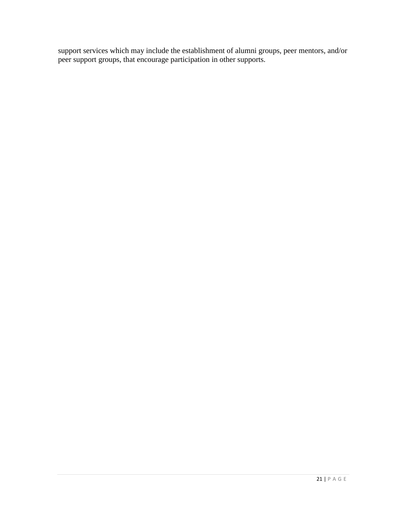support services which may include the establishment of alumni groups, peer mentors, and/or peer support groups, that encourage participation in other supports.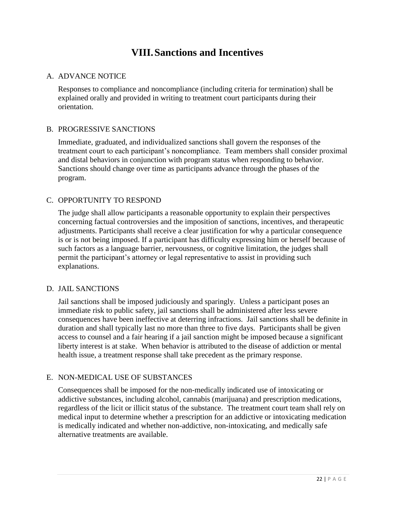# **VIII.Sanctions and Incentives**

# <span id="page-21-1"></span><span id="page-21-0"></span>A. ADVANCE NOTICE

Responses to compliance and noncompliance (including criteria for termination) shall be explained orally and provided in writing to treatment court participants during their orientation.

# <span id="page-21-2"></span>B. PROGRESSIVE SANCTIONS

Immediate, graduated, and individualized sanctions shall govern the responses of the treatment court to each participant's noncompliance. Team members shall consider proximal and distal behaviors in conjunction with program status when responding to behavior. Sanctions should change over time as participants advance through the phases of the program.

# <span id="page-21-3"></span>C. OPPORTUNITY TO RESPOND

The judge shall allow participants a reasonable opportunity to explain their perspectives concerning factual controversies and the imposition of sanctions, incentives, and therapeutic adjustments. Participants shall receive a clear justification for why a particular consequence is or is not being imposed. If a participant has difficulty expressing him or herself because of such factors as a language barrier, nervousness, or cognitive limitation, the judges shall permit the participant's attorney or legal representative to assist in providing such explanations.

#### <span id="page-21-4"></span>D. JAIL SANCTIONS

Jail sanctions shall be imposed judiciously and sparingly. Unless a participant poses an immediate risk to public safety, jail sanctions shall be administered after less severe consequences have been ineffective at deterring infractions. Jail sanctions shall be definite in duration and shall typically last no more than three to five days. Participants shall be given access to counsel and a fair hearing if a jail sanction might be imposed because a significant liberty interest is at stake. When behavior is attributed to the disease of addiction or mental health issue, a treatment response shall take precedent as the primary response.

# <span id="page-21-5"></span>E. NON-MEDICAL USE OF SUBSTANCES

Consequences shall be imposed for the non-medically indicated use of intoxicating or addictive substances, including alcohol, cannabis (marijuana) and prescription medications, regardless of the licit or illicit status of the substance. The treatment court team shall rely on medical input to determine whether a prescription for an addictive or intoxicating medication is medically indicated and whether non-addictive, non-intoxicating, and medically safe alternative treatments are available.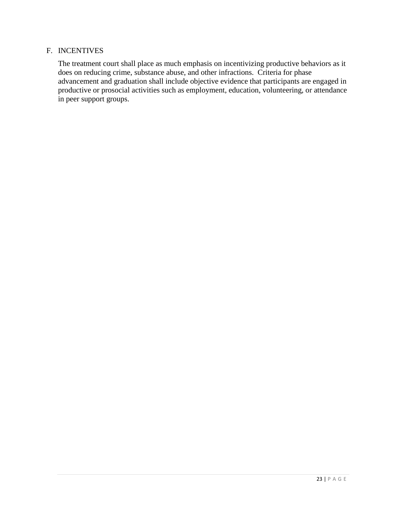## <span id="page-22-0"></span>F. INCENTIVES

The treatment court shall place as much emphasis on incentivizing productive behaviors as it does on reducing crime, substance abuse, and other infractions. Criteria for phase advancement and graduation shall include objective evidence that participants are engaged in productive or prosocial activities such as employment, education, volunteering, or attendance in peer support groups.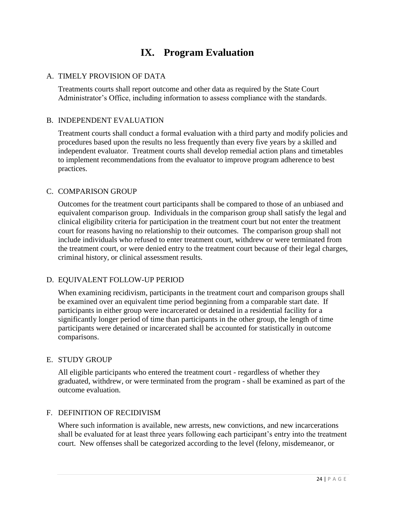# <span id="page-23-2"></span>**IX. Program Evaluation**

# <span id="page-23-1"></span><span id="page-23-0"></span>A. TIMELY PROVISION OF DATA

Treatments courts shall report outcome and other data as required by the State Court Administrator's Office, including information to assess compliance with the standards.

# B. INDEPENDENT EVALUATION

Treatment courts shall conduct a formal evaluation with a third party and modify policies and procedures based upon the results no less frequently than every five years by a skilled and independent evaluator. Treatment courts shall develop remedial action plans and timetables to implement recommendations from the evaluator to improve program adherence to best practices.

#### C. COMPARISON GROUP

Outcomes for the treatment court participants shall be compared to those of an unbiased and equivalent comparison group. Individuals in the comparison group shall satisfy the legal and clinical eligibility criteria for participation in the treatment court but not enter the treatment court for reasons having no relationship to their outcomes. The comparison group shall not include individuals who refused to enter treatment court, withdrew or were terminated from the treatment court, or were denied entry to the treatment court because of their legal charges, criminal history, or clinical assessment results.

# D. EQUIVALENT FOLLOW-UP PERIOD

When examining recidivism, participants in the treatment court and comparison groups shall be examined over an equivalent time period beginning from a comparable start date. If participants in either group were incarcerated or detained in a residential facility for a significantly longer period of time than participants in the other group, the length of time participants were detained or incarcerated shall be accounted for statistically in outcome comparisons.

#### E. STUDY GROUP

All eligible participants who entered the treatment court - regardless of whether they graduated, withdrew, or were terminated from the program - shall be examined as part of the outcome evaluation.

#### F. DEFINITION OF RECIDIVISM

Where such information is available, new arrests, new convictions, and new incarcerations shall be evaluated for at least three years following each participant's entry into the treatment court. New offenses shall be categorized according to the level (felony, misdemeanor, or